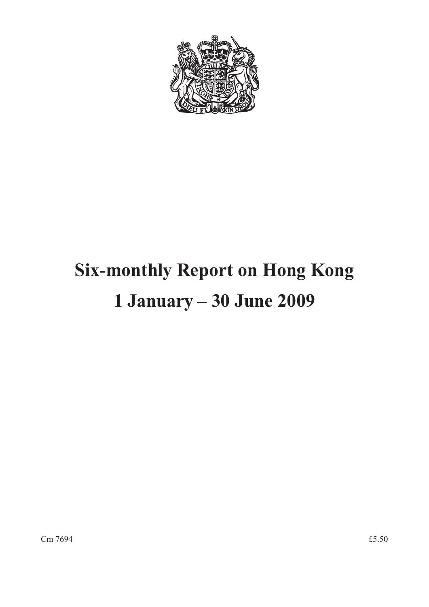

# **Six-monthly Report on Hong Kong 1 January – 30 June 2009**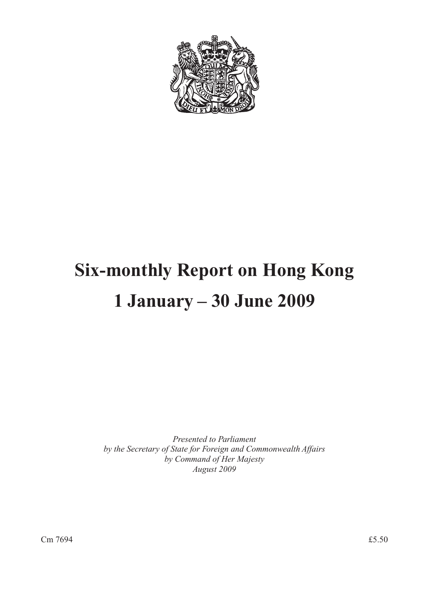

# **Six-monthly Report on Hong Kong 1 January – 30 June 2009**

*Presented to Parliament by the Secretary of State for Foreign and Commonwealth Affairs by Command of Her Majesty August 2009*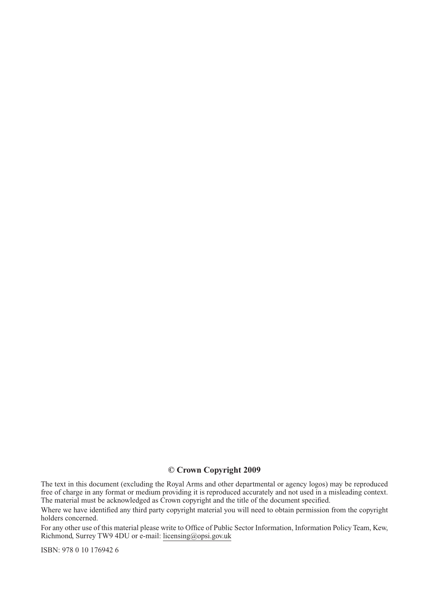# **© Crown Copyright 2009**

The text in this document (excluding the Royal Arms and other departmental or agency logos) may be reproduced free of charge in any format or medium providing it is reproduced accurately and not used in a misleading context. The material must be acknowledged as Crown copyright and the title of the document specified.

Where we have identified any third party copyright material you will need to obtain permission from the copyright holders concerned.

For any other use of this material please write to Office of Public Sector Information, Information Policy Team, Kew, Richmond, Surrey TW9 4DU or e-mail: licensing@opsi.gov.uk

ISBN: 978 0 10 176942 6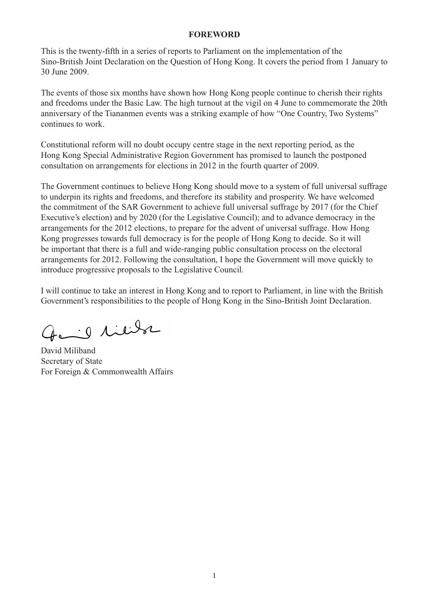#### **FOREWORD**

This is the twenty-fifth in a series of reports to Parliament on the implementation of the Sino-British Joint Declaration on the Question of Hong Kong. It covers the period from 1 January to 30 June 2009.

The events of those six months have shown how Hong Kong people continue to cherish their rights and freedoms under the Basic Law. The high turnout at the vigil on 4 June to commemorate the 20th anniversary of the Tiananmen events was a striking example of how "One Country, Two Systems" continues to work.

Constitutional reform will no doubt occupy centre stage in the next reporting period, as the Hong Kong Special Administrative Region Government has promised to launch the postponed consultation on arrangements for elections in 2012 in the fourth quarter of 2009.

The Government continues to believe Hong Kong should move to a system of full universal suffrage to underpin its rights and freedoms, and therefore its stability and prosperity. We have welcomed the commitment of the SAR Government to achieve full universal suffrage by 2017 (for the Chief Executive's election) and by 2020 (for the Legislative Council); and to advance democracy in the arrangements for the 2012 elections, to prepare for the advent of universal suffrage. How Hong Kong progresses towards full democracy is for the people of Hong Kong to decide. So it will be important that there is a full and wide-ranging public consultation process on the electoral arrangements for 2012. Following the consultation, I hope the Government will move quickly to introduce progressive proposals to the Legislative Council.

I will continue to take an interest in Hong Kong and to report to Parliament, in line with the British Government's responsibilities to the people of Hong Kong in the Sino-British Joint Declaration.

the id likely

David Miliband Secretary of State For Foreign & Commonwealth Affairs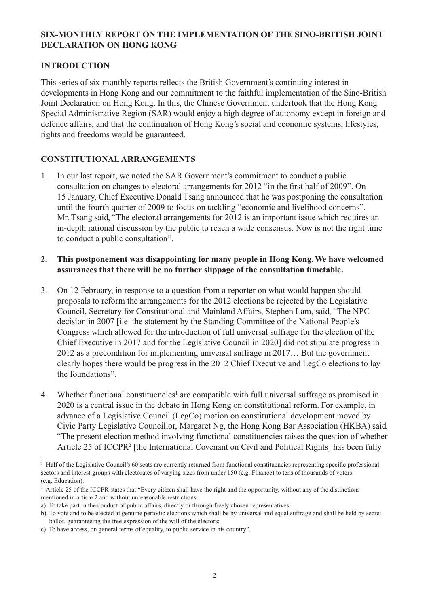# **SIX-MONTHLY REPORT ON THE IMPLEMENTATION OF THE SINO-BRITISH JOINT DECLARATION ON HONG KONG**

## **INTRODUCTION**

This series of six-monthly reports reflects the British Government's continuing interest in developments in Hong Kong and our commitment to the faithful implementation of the Sino-British Joint Declaration on Hong Kong. In this, the Chinese Government undertook that the Hong Kong Special Administrative Region (SAR) would enjoy a high degree of autonomy except in foreign and defence affairs, and that the continuation of Hong Kong's social and economic systems, lifestyles, rights and freedoms would be guaranteed.

### **CONSTITUTIONAL ARRANGEMENTS**

1. In our last report, we noted the SAR Government's commitment to conduct a public consultation on changes to electoral arrangements for 2012 "in the first half of 2009". On 15 January, Chief Executive Donald Tsang announced that he was postponing the consultation until the fourth quarter of 2009 to focus on tackling "economic and livelihood concerns". Mr. Tsang said, "The electoral arrangements for 2012 is an important issue which requires an in-depth rational discussion by the public to reach a wide consensus. Now is not the right time to conduct a public consultation".

## **2. This postponement was disappointing for many people in Hong Kong. We have welcomed assurances that there will be no further slippage of the consultation timetable.**

- 3. On 12 February, in response to a question from a reporter on what would happen should proposals to reform the arrangements for the 2012 elections be rejected by the Legislative Council, Secretary for Constitutional and Mainland Affairs, Stephen Lam, said, "The NPC decision in 2007 [i.e. the statement by the Standing Committee of the National People's Congress which allowed for the introduction of full universal suffrage for the election of the Chief Executive in 2017 and for the Legislative Council in 2020] did not stipulate progress in 2012 as a precondition for implementing universal suffrage in 2017… But the government clearly hopes there would be progress in the 2012 Chief Executive and LegCo elections to lay the foundations".
- 4. Whether functional constituencies<sup>1</sup> are compatible with full universal suffrage as promised in 2020 is a central issue in the debate in Hong Kong on constitutional reform. For example, in advance of a Legislative Council (LegCo) motion on constitutional development moved by Civic Party Legislative Councillor, Margaret Ng, the Hong Kong Bar Association (HKBA) said, "The present election method involving functional constituencies raises the question of whether Article 25 of ICCPR<sup>2</sup> [the International Covenant on Civil and Political Rights] has been fully

<sup>&</sup>lt;sup>1</sup> Half of the Legislative Council's 60 seats are currently returned from functional constituencies representing specific professional sectors and interest groups with electorates of varying sizes from under 150 (e.g. Finance) to tens of thousands of voters (e.g. Education).

<sup>&</sup>lt;sup>2</sup> Article 25 of the ICCPR states that "Every citizen shall have the right and the opportunity, without any of the distinctions mentioned in article 2 and without unreasonable restrictions:

a) To take part in the conduct of public affairs, directly or through freely chosen representatives;

b) To vote and to be elected at genuine periodic elections which shall be by universal and equal suffrage and shall be held by secret ballot, guaranteeing the free expression of the will of the electors;

c) To have access, on general terms of equality, to public service in his country".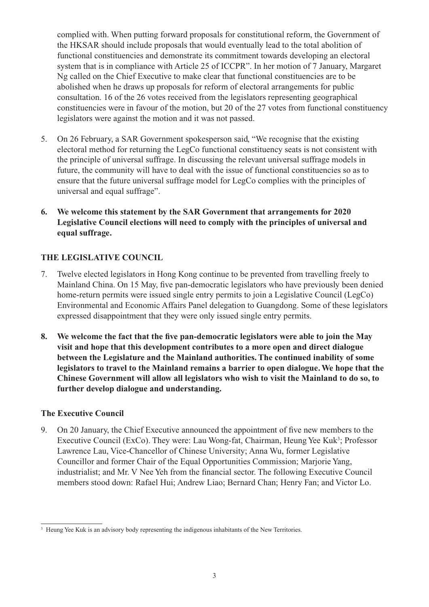complied with. When putting forward proposals for constitutional reform, the Government of the HKSAR should include proposals that would eventually lead to the total abolition of functional constituencies and demonstrate its commitment towards developing an electoral system that is in compliance with Article 25 of ICCPR". In her motion of 7 January, Margaret Ng called on the Chief Executive to make clear that functional constituencies are to be abolished when he draws up proposals for reform of electoral arrangements for public consultation. 16 of the 26 votes received from the legislators representing geographical constituencies were in favour of the motion, but 20 of the 27 votes from functional constituency legislators were against the motion and it was not passed.

- 5. On 26 February, a SAR Government spokesperson said, "We recognise that the existing electoral method for returning the LegCo functional constituency seats is not consistent with the principle of universal suffrage. In discussing the relevant universal suffrage models in future, the community will have to deal with the issue of functional constituencies so as to ensure that the future universal suffrage model for LegCo complies with the principles of universal and equal suffrage".
- **6. We welcome this statement by the SAR Government that arrangements for 2020 Legislative Council elections will need to comply with the principles of universal and equal suffrage.**

# **THE LEGISLATIVE COUNCIL**

- 7. Twelve elected legislators in Hong Kong continue to be prevented from travelling freely to Mainland China. On 15 May, five pan-democratic legislators who have previously been denied home-return permits were issued single entry permits to join a Legislative Council (LegCo) Environmental and Economic Affairs Panel delegation to Guangdong. Some of these legislators expressed disappointment that they were only issued single entry permits.
- **8. We welcome the fact that the five pan-democratic legislators were able to join the May visit and hope that this development contributes to a more open and direct dialogue between the Legislature and the Mainland authorities. The continued inability of some legislators to travel to the Mainland remains a barrier to open dialogue. We hope that the Chinese Government will allow all legislators who wish to visit the Mainland to do so, to further develop dialogue and understanding.**

### **The Executive Council**

9. On 20 January, the Chief Executive announced the appointment of five new members to the Executive Council (ExCo). They were: Lau Wong-fat, Chairman, Heung Yee Kuk<sup>3</sup>; Professor Lawrence Lau, Vice-Chancellor of Chinese University; Anna Wu, former Legislative Councillor and former Chair of the Equal Opportunities Commission; Marjorie Yang, industrialist; and Mr. V Nee Yeh from the financial sector. The following Executive Council members stood down: Rafael Hui; Andrew Liao; Bernard Chan; Henry Fan; and Victor Lo.

<sup>&</sup>lt;sup>3</sup> Heung Yee Kuk is an advisory body representing the indigenous inhabitants of the New Territories.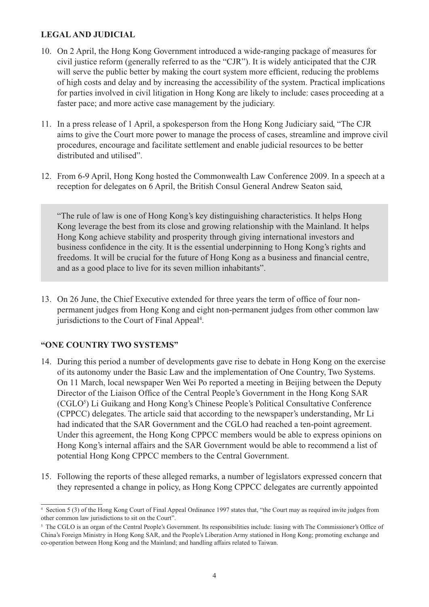## **LEGAL AND JUDICIAL**

- 10. On 2 April, the Hong Kong Government introduced a wide-ranging package of measures for civil justice reform (generally referred to as the "CJR"). It is widely anticipated that the CJR will serve the public better by making the court system more efficient, reducing the problems of high costs and delay and by increasing the accessibility of the system. Practical implications for parties involved in civil litigation in Hong Kong are likely to include: cases proceeding at a faster pace; and more active case management by the judiciary.
- 11. In a press release of 1 April, a spokesperson from the Hong Kong Judiciary said, "The CJR aims to give the Court more power to manage the process of cases, streamline and improve civil procedures, encourage and facilitate settlement and enable judicial resources to be better distributed and utilised".
- 12. From 6-9 April, Hong Kong hosted the Commonwealth Law Conference 2009. In a speech at a reception for delegates on 6 April, the British Consul General Andrew Seaton said,

"The rule of law is one of Hong Kong's key distinguishing characteristics. It helps Hong Kong leverage the best from its close and growing relationship with the Mainland. It helps Hong Kong achieve stability and prosperity through giving international investors and business confidence in the city. It is the essential underpinning to Hong Kong's rights and freedoms. It will be crucial for the future of Hong Kong as a business and financial centre, and as a good place to live for its seven million inhabitants".

13. On 26 June, the Chief Executive extended for three years the term of office of four nonpermanent judges from Hong Kong and eight non-permanent judges from other common law jurisdictions to the Court of Final Appeal<sup>4</sup>.

### **"ONE COUNTRY TWO SYSTEMS"**

- 14. During this period a number of developments gave rise to debate in Hong Kong on the exercise of its autonomy under the Basic Law and the implementation of One Country, Two Systems. On 11 March, local newspaper Wen Wei Po reported a meeting in Beijing between the Deputy Director of the Liaison Office of the Central People's Government in the Hong Kong SAR (CGLO<sup>5</sup>) Li Guikang and Hong Kong's Chinese People's Political Consultative Conference (CPPCC) delegates. The article said that according to the newspaper's understanding, Mr Li had indicated that the SAR Government and the CGLO had reached a ten-point agreement. Under this agreement, the Hong Kong CPPCC members would be able to express opinions on Hong Kong's internal affairs and the SAR Government would be able to recommend a list of potential Hong Kong CPPCC members to the Central Government.
- 15. Following the reports of these alleged remarks, a number of legislators expressed concern that they represented a change in policy, as Hong Kong CPPCC delegates are currently appointed

<sup>4</sup> Section 5 (3) of the Hong Kong Court of Final Appeal Ordinance 1997 states that, "the Court may as required invite judges from other common law jurisdictions to sit on the Court".

<sup>&</sup>lt;sup>5</sup> The CGLO is an organ of the Central People's Government. Its responsibilities include: liasing with The Commissioner's Office of China's Foreign Ministry in Hong Kong SAR, and the People's Liberation Army stationed in Hong Kong; promoting exchange and co-operation between Hong Kong and the Mainland; and handling affairs related to Taiwan.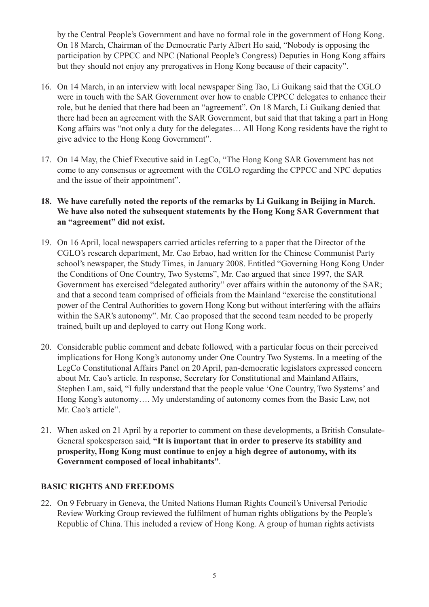by the Central People's Government and have no formal role in the government of Hong Kong. On 18 March, Chairman of the Democratic Party Albert Ho said, "Nobody is opposing the participation by CPPCC and NPC (National People's Congress) Deputies in Hong Kong affairs but they should not enjoy any prerogatives in Hong Kong because of their capacity".

- 16. On 14 March, in an interview with local newspaper Sing Tao, Li Guikang said that the CGLO were in touch with the SAR Government over how to enable CPPCC delegates to enhance their role, but he denied that there had been an "agreement". On 18 March, Li Guikang denied that there had been an agreement with the SAR Government, but said that that taking a part in Hong Kong affairs was "not only a duty for the delegates… All Hong Kong residents have the right to give advice to the Hong Kong Government".
- 17. On 14 May, the Chief Executive said in LegCo, "The Hong Kong SAR Government has not come to any consensus or agreement with the CGLO regarding the CPPCC and NPC deputies and the issue of their appointment".

# **18. We have carefully noted the reports of the remarks by Li Guikang in Beijing in March. We have also noted the subsequent statements by the Hong Kong SAR Government that an "agreement" did not exist.**

- 19. On 16 April, local newspapers carried articles referring to a paper that the Director of the CGLO's research department, Mr. Cao Erbao, had written for the Chinese Communist Party school's newspaper, the Study Times, in January 2008. Entitled "Governing Hong Kong Under the Conditions of One Country, Two Systems", Mr. Cao argued that since 1997, the SAR Government has exercised "delegated authority" over affairs within the autonomy of the SAR; and that a second team comprised of officials from the Mainland "exercise the constitutional power of the Central Authorities to govern Hong Kong but without interfering with the affairs within the SAR's autonomy". Mr. Cao proposed that the second team needed to be properly trained, built up and deployed to carry out Hong Kong work.
- 20. Considerable public comment and debate followed, with a particular focus on their perceived implications for Hong Kong's autonomy under One Country Two Systems. In a meeting of the LegCo Constitutional Affairs Panel on 20 April, pan-democratic legislators expressed concern about Mr. Cao's article. In response, Secretary for Constitutional and Mainland Affairs, Stephen Lam, said, "I fully understand that the people value 'One Country, Two Systems' and Hong Kong's autonomy…. My understanding of autonomy comes from the Basic Law, not Mr. Cao's article".
- 21. When asked on 21 April by a reporter to comment on these developments, a British Consulate-General spokesperson said, **"It is important that in order to preserve its stability and prosperity, Hong Kong must continue to enjoy a high degree of autonomy, with its Government composed of local inhabitants"**.

# **BASIC RIGHTS AND FREEDOMS**

22. On 9 February in Geneva, the United Nations Human Rights Council's Universal Periodic Review Working Group reviewed the fulfilment of human rights obligations by the People's Republic of China. This included a review of Hong Kong. A group of human rights activists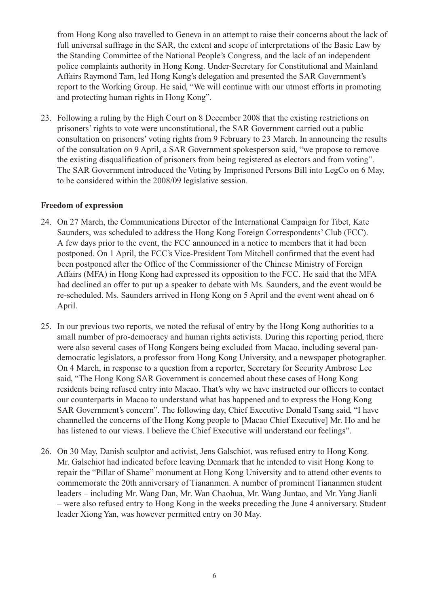from Hong Kong also travelled to Geneva in an attempt to raise their concerns about the lack of full universal suffrage in the SAR, the extent and scope of interpretations of the Basic Law by the Standing Committee of the National People's Congress, and the lack of an independent police complaints authority in Hong Kong. Under-Secretary for Constitutional and Mainland Affairs Raymond Tam, led Hong Kong's delegation and presented the SAR Government's report to the Working Group. He said, "We will continue with our utmost efforts in promoting and protecting human rights in Hong Kong".

23. Following a ruling by the High Court on 8 December 2008 that the existing restrictions on prisoners' rights to vote were unconstitutional, the SAR Government carried out a public consultation on prisoners' voting rights from 9 February to 23 March. In announcing the results of the consultation on 9 April, a SAR Government spokesperson said, "we propose to remove the existing disqualification of prisoners from being registered as electors and from voting". The SAR Government introduced the Voting by Imprisoned Persons Bill into LegCo on 6 May, to be considered within the 2008/09 legislative session.

#### **Freedom of expression**

- 24. On 27 March, the Communications Director of the International Campaign for Tibet, Kate Saunders, was scheduled to address the Hong Kong Foreign Correspondents' Club (FCC). A few days prior to the event, the FCC announced in a notice to members that it had been postponed. On 1 April, the FCC's Vice-President Tom Mitchell confirmed that the event had been postponed after the Office of the Commissioner of the Chinese Ministry of Foreign Affairs (MFA) in Hong Kong had expressed its opposition to the FCC. He said that the MFA had declined an offer to put up a speaker to debate with Ms. Saunders, and the event would be re-scheduled. Ms. Saunders arrived in Hong Kong on 5 April and the event went ahead on 6 April.
- 25. In our previous two reports, we noted the refusal of entry by the Hong Kong authorities to a small number of pro-democracy and human rights activists. During this reporting period, there were also several cases of Hong Kongers being excluded from Macao, including several pandemocratic legislators, a professor from Hong Kong University, and a newspaper photographer. On 4 March, in response to a question from a reporter, Secretary for Security Ambrose Lee said, "The Hong Kong SAR Government is concerned about these cases of Hong Kong residents being refused entry into Macao. That's why we have instructed our officers to contact our counterparts in Macao to understand what has happened and to express the Hong Kong SAR Government's concern". The following day, Chief Executive Donald Tsang said, "I have channelled the concerns of the Hong Kong people to [Macao Chief Executive] Mr. Ho and he has listened to our views. I believe the Chief Executive will understand our feelings".
- 26. On 30 May, Danish sculptor and activist, Jens Galschiot, was refused entry to Hong Kong. Mr. Galschiot had indicated before leaving Denmark that he intended to visit Hong Kong to repair the "Pillar of Shame" monument at Hong Kong University and to attend other events to commemorate the 20th anniversary of Tiananmen. A number of prominent Tiananmen student leaders – including Mr. Wang Dan, Mr. Wan Chaohua, Mr. Wang Juntao, and Mr. Yang Jianli – were also refused entry to Hong Kong in the weeks preceding the June 4 anniversary. Student leader Xiong Yan, was however permitted entry on 30 May.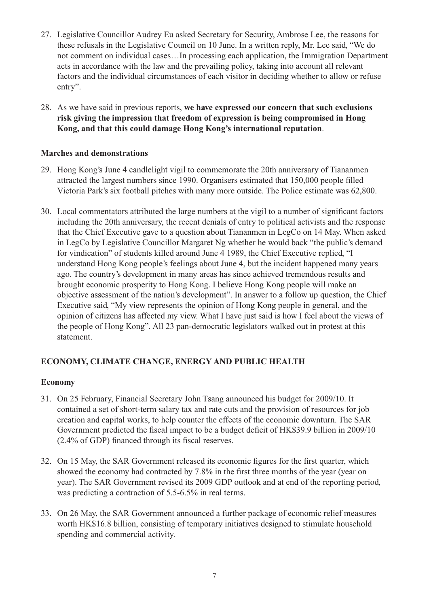- 27. Legislative Councillor Audrey Eu asked Secretary for Security, Ambrose Lee, the reasons for these refusals in the Legislative Council on 10 June. In a written reply, Mr. Lee said, "We do not comment on individual cases…In processing each application, the Immigration Department acts in accordance with the law and the prevailing policy, taking into account all relevant factors and the individual circumstances of each visitor in deciding whether to allow or refuse entry".
- 28. As we have said in previous reports, **we have expressed our concern that such exclusions risk giving the impression that freedom of expression is being compromised in Hong Kong, and that this could damage Hong Kong's international reputation**.

# **Marches and demonstrations**

- 29. Hong Kong's June 4 candlelight vigil to commemorate the 20th anniversary of Tiananmen attracted the largest numbers since 1990. Organisers estimated that 150,000 people filled Victoria Park's six football pitches with many more outside. The Police estimate was 62,800.
- 30. Local commentators attributed the large numbers at the vigil to a number of significant factors including the 20th anniversary, the recent denials of entry to political activists and the response that the Chief Executive gave to a question about Tiananmen in LegCo on 14 May. When asked in LegCo by Legislative Councillor Margaret Ng whether he would back "the public's demand for vindication" of students killed around June 4 1989, the Chief Executive replied, "I understand Hong Kong people's feelings about June 4, but the incident happened many years ago. The country's development in many areas has since achieved tremendous results and brought economic prosperity to Hong Kong. I believe Hong Kong people will make an objective assessment of the nation's development". In answer to a follow up question, the Chief Executive said, "My view represents the opinion of Hong Kong people in general, and the opinion of citizens has affected my view. What I have just said is how I feel about the views of the people of Hong Kong". All 23 pan-democratic legislators walked out in protest at this statement.

# **ECONOMY, CLIMATE CHANGE, ENERGY AND PUBLIC HEALTH**

### **Economy**

- 31. On 25 February, Financial Secretary John Tsang announced his budget for 2009/10. It contained a set of short-term salary tax and rate cuts and the provision of resources for job creation and capital works, to help counter the effects of the economic downturn. The SAR Government predicted the fiscal impact to be a budget deficit of HK\$39.9 billion in 2009/10 (2.4% of GDP) financed through its fiscal reserves.
- 32. On 15 May, the SAR Government released its economic figures for the first quarter, which showed the economy had contracted by 7.8% in the first three months of the year (year on year). The SAR Government revised its 2009 GDP outlook and at end of the reporting period, was predicting a contraction of 5.5-6.5% in real terms.
- 33. On 26 May, the SAR Government announced a further package of economic relief measures worth HK\$16.8 billion, consisting of temporary initiatives designed to stimulate household spending and commercial activity.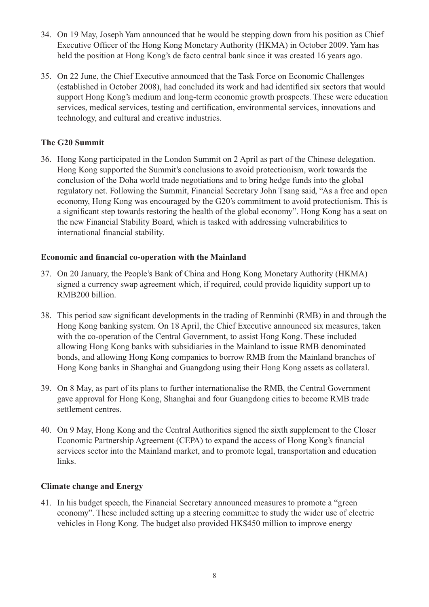- 34. On 19 May, Joseph Yam announced that he would be stepping down from his position as Chief Executive Officer of the Hong Kong Monetary Authority (HKMA) in October 2009. Yam has held the position at Hong Kong's de facto central bank since it was created 16 years ago.
- 35. On 22 June, the Chief Executive announced that the Task Force on Economic Challenges (established in October 2008), had concluded its work and had identified six sectors that would support Hong Kong's medium and long-term economic growth prospects. These were education services, medical services, testing and certification, environmental services, innovations and technology, and cultural and creative industries.

# **The G20 Summit**

36. Hong Kong participated in the London Summit on 2 April as part of the Chinese delegation. Hong Kong supported the Summit's conclusions to avoid protectionism, work towards the conclusion of the Doha world trade negotiations and to bring hedge funds into the global regulatory net. Following the Summit, Financial Secretary John Tsang said, "As a free and open economy, Hong Kong was encouraged by the G20's commitment to avoid protectionism. This is a significant step towards restoring the health of the global economy". Hong Kong has a seat on the new Financial Stability Board, which is tasked with addressing vulnerabilities to international financial stability.

### **Economic and financial co-operation with the Mainland**

- 37. On 20 January, the People's Bank of China and Hong Kong Monetary Authority (HKMA) signed a currency swap agreement which, if required, could provide liquidity support up to RMB200 billion.
- 38. This period saw significant developments in the trading of Renminbi (RMB) in and through the Hong Kong banking system. On 18 April, the Chief Executive announced six measures, taken with the co-operation of the Central Government, to assist Hong Kong. These included allowing Hong Kong banks with subsidiaries in the Mainland to issue RMB denominated bonds, and allowing Hong Kong companies to borrow RMB from the Mainland branches of Hong Kong banks in Shanghai and Guangdong using their Hong Kong assets as collateral.
- 39. On 8 May, as part of its plans to further internationalise the RMB, the Central Government gave approval for Hong Kong, Shanghai and four Guangdong cities to become RMB trade settlement centres.
- 40. On 9 May, Hong Kong and the Central Authorities signed the sixth supplement to the Closer Economic Partnership Agreement (CEPA) to expand the access of Hong Kong's financial services sector into the Mainland market, and to promote legal, transportation and education links.

### **Climate change and Energy**

41. In his budget speech, the Financial Secretary announced measures to promote a "green economy". These included setting up a steering committee to study the wider use of electric vehicles in Hong Kong. The budget also provided HK\$450 million to improve energy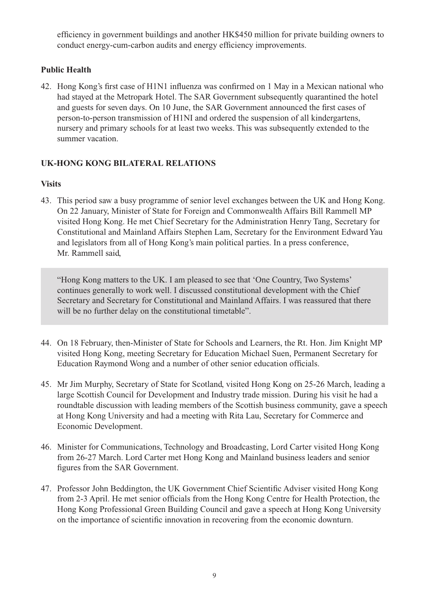efficiency in government buildings and another HK\$450 million for private building owners to conduct energy-cum-carbon audits and energy efficiency improvements.

# **Public Health**

42. Hong Kong's first case of H1N1 influenza was confirmed on 1 May in a Mexican national who had stayed at the Metropark Hotel. The SAR Government subsequently quarantined the hotel and guests for seven days. On 10 June, the SAR Government announced the first cases of person-to-person transmission of H1NI and ordered the suspension of all kindergartens, nursery and primary schools for at least two weeks. This was subsequently extended to the summer vacation.

# **UK-HONG KONG BILATERAL RELATIONS**

# **Visits**

43. This period saw a busy programme of senior level exchanges between the UK and Hong Kong. On 22 January, Minister of State for Foreign and Commonwealth Affairs Bill Rammell MP visited Hong Kong. He met Chief Secretary for the Administration Henry Tang, Secretary for Constitutional and Mainland Affairs Stephen Lam, Secretary for the Environment Edward Yau and legislators from all of Hong Kong's main political parties. In a press conference, Mr. Rammell said,

"Hong Kong matters to the UK. I am pleased to see that 'One Country, Two Systems' continues generally to work well. I discussed constitutional development with the Chief Secretary and Secretary for Constitutional and Mainland Affairs. I was reassured that there will be no further delay on the constitutional timetable".

- 44. On 18 February, then-Minister of State for Schools and Learners, the Rt. Hon. Jim Knight MP visited Hong Kong, meeting Secretary for Education Michael Suen, Permanent Secretary for Education Raymond Wong and a number of other senior education officials.
- 45. Mr Jim Murphy, Secretary of State for Scotland, visited Hong Kong on 25-26 March, leading a large Scottish Council for Development and Industry trade mission. During his visit he had a roundtable discussion with leading members of the Scottish business community, gave a speech at Hong Kong University and had a meeting with Rita Lau, Secretary for Commerce and Economic Development.
- 46. Minister for Communications, Technology and Broadcasting, Lord Carter visited Hong Kong from 26-27 March. Lord Carter met Hong Kong and Mainland business leaders and senior figures from the SAR Government.
- 47. Professor John Beddington, the UK Government Chief Scientific Adviser visited Hong Kong from 2-3 April. He met senior officials from the Hong Kong Centre for Health Protection, the Hong Kong Professional Green Building Council and gave a speech at Hong Kong University on the importance of scientific innovation in recovering from the economic downturn.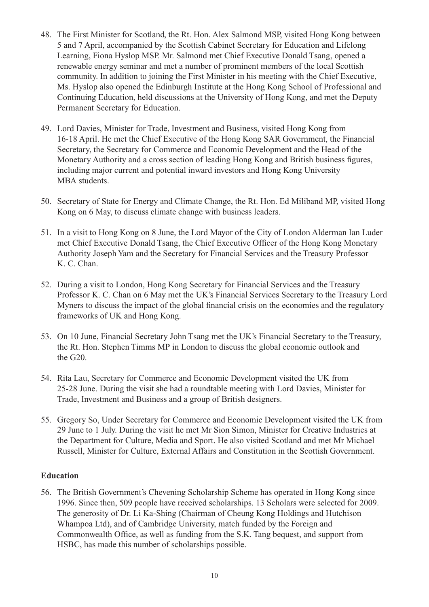- 48. The First Minister for Scotland, the Rt. Hon. Alex Salmond MSP, visited Hong Kong between 5 and 7 April, accompanied by the Scottish Cabinet Secretary for Education and Lifelong Learning, Fiona Hyslop MSP. Mr. Salmond met Chief Executive Donald Tsang, opened a renewable energy seminar and met a number of prominent members of the local Scottish community. In addition to joining the First Minister in his meeting with the Chief Executive, Ms. Hyslop also opened the Edinburgh Institute at the Hong Kong School of Professional and Continuing Education, held discussions at the University of Hong Kong, and met the Deputy Permanent Secretary for Education.
- 49. Lord Davies, Minister for Trade, Investment and Business, visited Hong Kong from 16-18 April. He met the Chief Executive of the Hong Kong SAR Government, the Financial Secretary, the Secretary for Commerce and Economic Development and the Head of the Monetary Authority and a cross section of leading Hong Kong and British business figures, including major current and potential inward investors and Hong Kong University MBA students.
- 50. Secretary of State for Energy and Climate Change, the Rt. Hon. Ed Miliband MP, visited Hong Kong on 6 May, to discuss climate change with business leaders.
- 51. In a visit to Hong Kong on 8 June, the Lord Mayor of the City of London Alderman Ian Luder met Chief Executive Donald Tsang, the Chief Executive Officer of the Hong Kong Monetary Authority Joseph Yam and the Secretary for Financial Services and the Treasury Professor K. C. Chan.
- 52. During a visit to London, Hong Kong Secretary for Financial Services and the Treasury Professor K. C. Chan on 6 May met the UK's Financial Services Secretary to the Treasury Lord Myners to discuss the impact of the global financial crisis on the economies and the regulatory frameworks of UK and Hong Kong.
- 53. On 10 June, Financial Secretary John Tsang met the UK's Financial Secretary to the Treasury, the Rt. Hon. Stephen Timms MP in London to discuss the global economic outlook and the G20.
- 54. Rita Lau, Secretary for Commerce and Economic Development visited the UK from 25-28 June. During the visit she had a roundtable meeting with Lord Davies, Minister for Trade, Investment and Business and a group of British designers.
- 55. Gregory So, Under Secretary for Commerce and Economic Development visited the UK from 29 June to 1 July. During the visit he met Mr Sion Simon, Minister for Creative Industries at the Department for Culture, Media and Sport. He also visited Scotland and met Mr Michael Russell, Minister for Culture, External Affairs and Constitution in the Scottish Government.

### **Education**

56. The British Government's Chevening Scholarship Scheme has operated in Hong Kong since 1996. Since then, 509 people have received scholarships. 13 Scholars were selected for 2009. The generosity of Dr. Li Ka-Shing (Chairman of Cheung Kong Holdings and Hutchison Whampoa Ltd), and of Cambridge University, match funded by the Foreign and Commonwealth Office, as well as funding from the S.K. Tang bequest, and support from HSBC, has made this number of scholarships possible.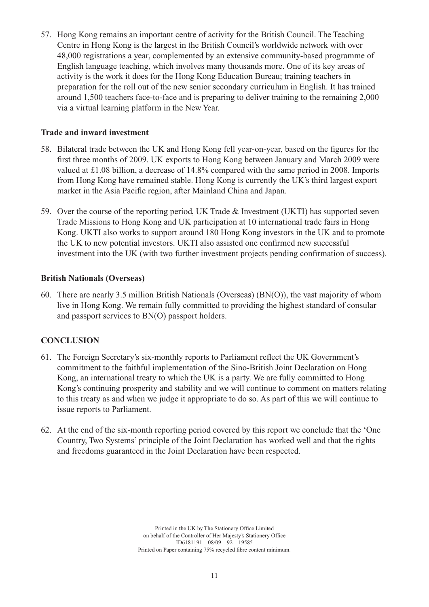57. Hong Kong remains an important centre of activity for the British Council. The Teaching Centre in Hong Kong is the largest in the British Council's worldwide network with over 48,000 registrations a year, complemented by an extensive community-based programme of English language teaching, which involves many thousands more. One of its key areas of activity is the work it does for the Hong Kong Education Bureau; training teachers in preparation for the roll out of the new senior secondary curriculum in English. It has trained around 1,500 teachers face-to-face and is preparing to deliver training to the remaining 2,000 via a virtual learning platform in the New Year.

# **Trade and inward investment**

- 58. Bilateral trade between the UK and Hong Kong fell year-on-year, based on the figures for the first three months of 2009. UK exports to Hong Kong between January and March 2009 were valued at £1.08 billion, a decrease of 14.8% compared with the same period in 2008. Imports from Hong Kong have remained stable. Hong Kong is currently the UK's third largest export market in the Asia Pacific region, after Mainland China and Japan.
- 59. Over the course of the reporting period, UK Trade & Investment (UKTI) has supported seven Trade Missions to Hong Kong and UK participation at 10 international trade fairs in Hong Kong. UKTI also works to support around 180 Hong Kong investors in the UK and to promote the UK to new potential investors. UKTI also assisted one confirmed new successful investment into the UK (with two further investment projects pending confirmation of success).

### **British Nationals (Overseas)**

60. There are nearly 3.5 million British Nationals (Overseas) (BN(O)), the vast majority of whom live in Hong Kong. We remain fully committed to providing the highest standard of consular and passport services to BN(O) passport holders.

# **CONCLUSION**

- 61. The Foreign Secretary's six-monthly reports to Parliament reflect the UK Government's commitment to the faithful implementation of the Sino-British Joint Declaration on Hong Kong, an international treaty to which the UK is a party. We are fully committed to Hong Kong's continuing prosperity and stability and we will continue to comment on matters relating to this treaty as and when we judge it appropriate to do so. As part of this we will continue to issue reports to Parliament.
- 62. At the end of the six-month reporting period covered by this report we conclude that the 'One Country, Two Systems' principle of the Joint Declaration has worked well and that the rights and freedoms guaranteed in the Joint Declaration have been respected.

Printed in the UK by The Stationery Office Limited on behalf of the Controller of Her Majesty's Stationery Office ID6181191 08/09 92 19585 Printed on Paper containing 75% recycled fibre content minimum.